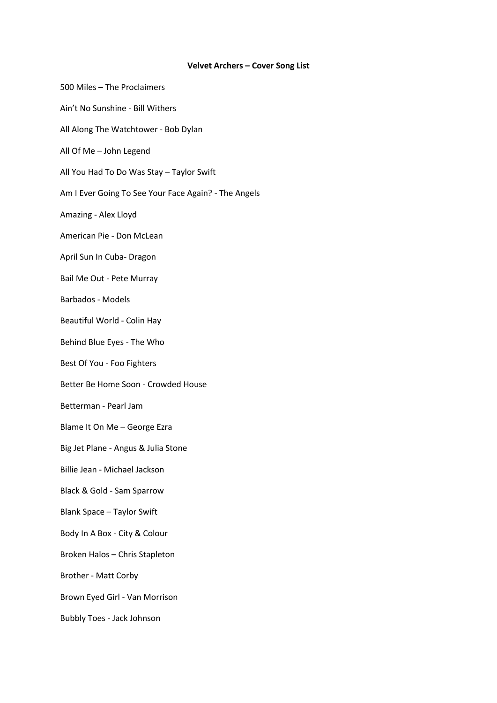## **Velvet Archers – Cover Song List**

| 500 Miles - The Proclaimers                          |
|------------------------------------------------------|
| Ain't No Sunshine - Bill Withers                     |
| All Along The Watchtower - Bob Dylan                 |
| All Of Me - John Legend                              |
| All You Had To Do Was Stay - Taylor Swift            |
| Am I Ever Going To See Your Face Again? - The Angels |
| Amazing - Alex Lloyd                                 |
| American Pie - Don McLean                            |
| April Sun In Cuba- Dragon                            |
| Bail Me Out - Pete Murray                            |
| <b>Barbados - Models</b>                             |
| Beautiful World - Colin Hay                          |
| Behind Blue Eyes - The Who                           |
| Best Of You - Foo Fighters                           |
| Better Be Home Soon - Crowded House                  |
| Betterman - Pearl Jam                                |
| Blame It On Me - George Ezra                         |
| Big Jet Plane - Angus & Julia Stone                  |
| Billie Jean - Michael Jackson                        |
| Black & Gold - Sam Sparrow                           |
| <b>Blank Space - Taylor Swift</b>                    |
| Body In A Box - City & Colour                        |
| Broken Halos - Chris Stapleton                       |
| <b>Brother - Matt Corby</b>                          |
| Brown Eyed Girl - Van Morrison                       |
| <b>Bubbly Toes - Jack Johnson</b>                    |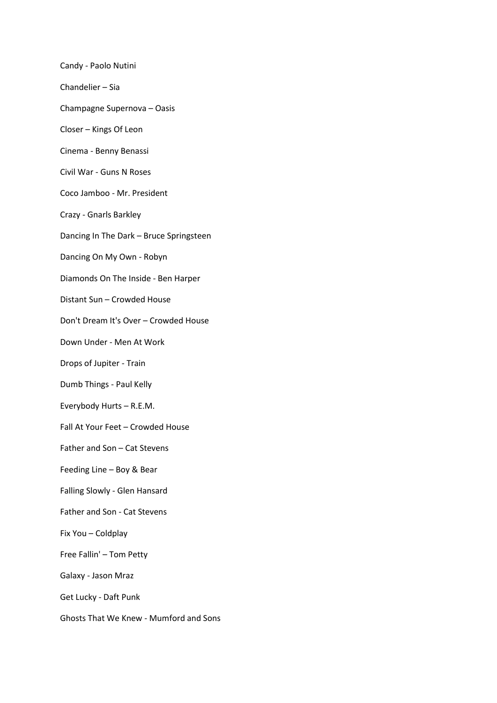Candy - Paolo Nutini Chandelier – Sia Champagne Supernova – Oasis Closer – Kings Of Leon Cinema - Benny Benassi Civil War - Guns N Roses Coco Jamboo - Mr. President Crazy - Gnarls Barkley Dancing In The Dark – Bruce Springsteen Dancing On My Own - Robyn Diamonds On The Inside - Ben Harper Distant Sun – Crowded House Don't Dream It's Over – Crowded House Down Under - Men At Work Drops of Jupiter - Train Dumb Things - Paul Kelly Everybody Hurts – R.E.M. Fall At Your Feet – Crowded House Father and Son – Cat Stevens Feeding Line – Boy & Bear Falling Slowly - Glen Hansard Father and Son - Cat Stevens Fix You – Coldplay Free Fallin' – Tom Petty Galaxy - Jason Mraz Get Lucky - Daft Punk Ghosts That We Knew - Mumford and Sons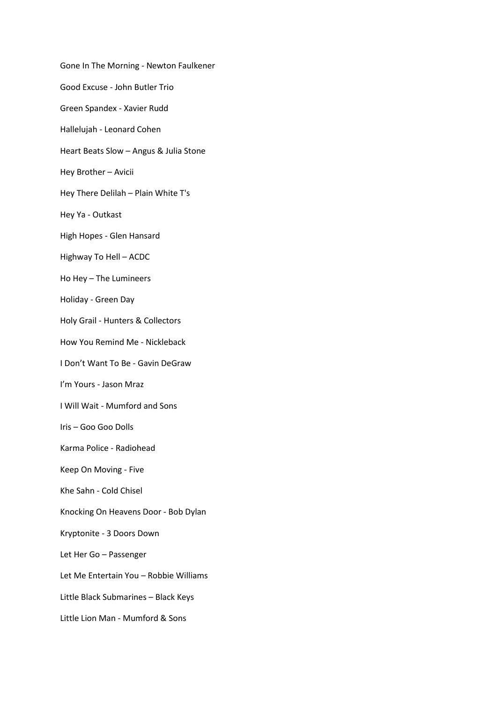Gone In The Morning - Newton Faulkener Good Excuse - John Butler Trio Green Spandex - Xavier Rudd Hallelujah - Leonard Cohen Heart Beats Slow – Angus & Julia Stone Hey Brother – Avicii Hey There Delilah – Plain White T's Hey Ya - Outkast High Hopes - Glen Hansard Highway To Hell – ACDC Ho Hey – The Lumineers Holiday - Green Day Holy Grail - Hunters & Collectors How You Remind Me - Nickleback I Don't Want To Be - Gavin DeGraw I'm Yours - Jason Mraz I Will Wait - Mumford and Sons Iris – Goo Goo Dolls Karma Police - Radiohead Keep On Moving - Five Khe Sahn - Cold Chisel Knocking On Heavens Door - Bob Dylan Kryptonite - 3 Doors Down Let Her Go – Passenger Let Me Entertain You – Robbie Williams Little Black Submarines – Black Keys Little Lion Man - Mumford & Sons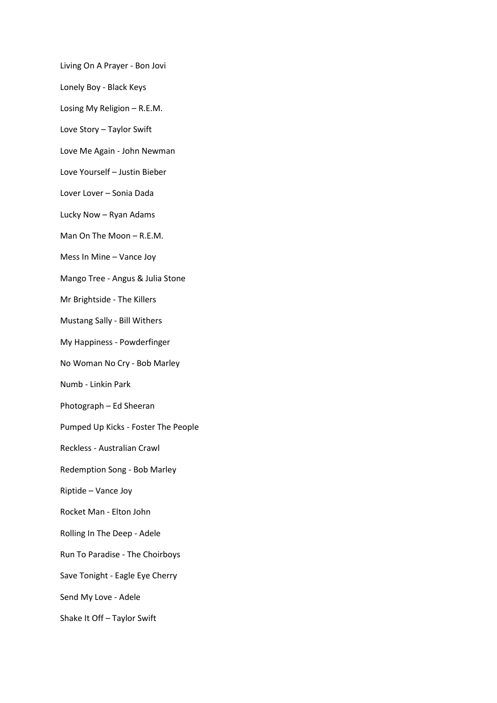Living On A Prayer - Bon Jovi

Lonely Boy - Black Keys

Losing My Religion – R.E.M.

Love Story – Taylor Swift

Love Me Again - John Newman

Love Yourself – Justin Bieber

Lover Lover – Sonia Dada

Lucky Now – Ryan Adams

Man On The Moon – R.E.M.

Mess In Mine – Vance Joy

Mango Tree - Angus & Julia Stone

Mr Brightside - The Killers

Mustang Sally - Bill Withers

My Happiness - Powderfinger

No Woman No Cry - Bob Marley

Numb - Linkin Park

Photograph – Ed Sheeran

Pumped Up Kicks - Foster The People

Reckless - Australian Crawl

Redemption Song - Bob Marley

Riptide – Vance Joy

Rocket Man - Elton John

Rolling In The Deep - Adele

Run To Paradise - The Choirboys

Save Tonight - Eagle Eye Cherry

Send My Love - Adele

Shake It Off – Taylor Swift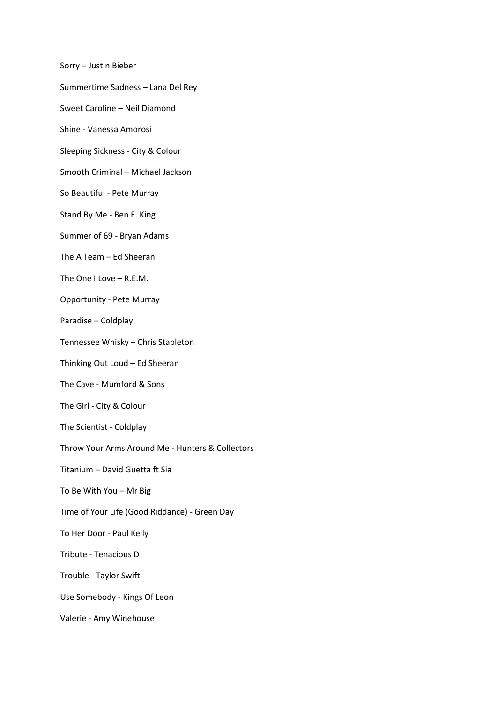Sorry – Justin Bieber

Summertime Sadness – Lana Del Rey

Sweet Caroline – Neil Diamond

Shine - Vanessa Amorosi

Sleeping Sickness - City & Colour

Smooth Criminal – Michael Jackson

So Beautiful - Pete Murray

Stand By Me - Ben E. King

Summer of 69 - Bryan Adams

The A Team – Ed Sheeran

The One I Love – R.E.M.

Opportunity - Pete Murray

Paradise – Coldplay

Tennessee Whisky – Chris Stapleton

Thinking Out Loud – Ed Sheeran

The Cave - Mumford & Sons

The Girl - City & Colour

The Scientist - Coldplay

Throw Your Arms Around Me - Hunters & Collectors

Titanium – David Guetta ft Sia

To Be With You – Mr Big

Time of Your Life (Good Riddance) - Green Day

To Her Door - Paul Kelly

Tribute - Tenacious D

Trouble - Taylor Swift

Use Somebody - Kings Of Leon

Valerie - Amy Winehouse